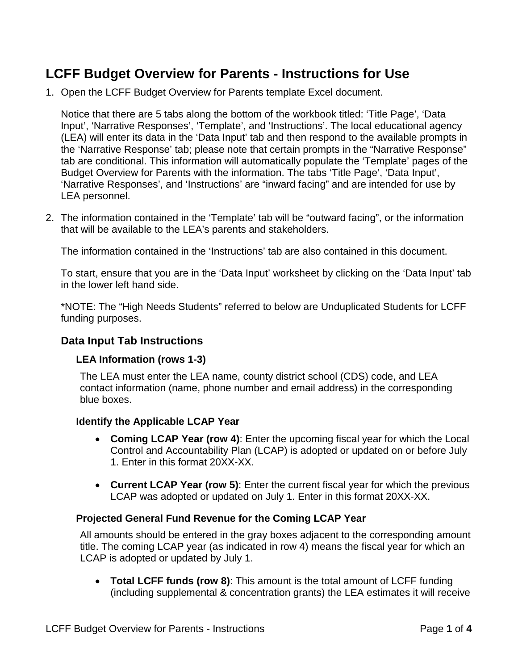# **LCFF Budget Overview for Parents - Instructions for Use**

1. Open the LCFF Budget Overview for Parents template Excel document.

Notice that there are 5 tabs along the bottom of the workbook titled: 'Title Page', 'Data Input', 'Narrative Responses', 'Template', and 'Instructions'. The local educational agency (LEA) will enter its data in the 'Data Input' tab and then respond to the available prompts in the 'Narrative Response' tab; please note that certain prompts in the "Narrative Response" tab are conditional. This information will automatically populate the 'Template' pages of the Budget Overview for Parents with the information. The tabs 'Title Page', 'Data Input', 'Narrative Responses', and 'Instructions' are "inward facing" and are intended for use by LEA personnel.

2. The information contained in the 'Template' tab will be "outward facing", or the information that will be available to the LEA's parents and stakeholders.

The information contained in the 'Instructions' tab are also contained in this document.

To start, ensure that you are in the 'Data Input' worksheet by clicking on the 'Data Input' tab in the lower left hand side.

\*NOTE: The "High Needs Students" referred to below are Unduplicated Students for LCFF funding purposes.

## **Data Input Tab Instructions**

#### **LEA Information (rows 1-3)**

The LEA must enter the LEA name, county district school (CDS) code, and LEA contact information (name, phone number and email address) in the corresponding blue boxes.

#### **Identify the Applicable LCAP Year**

- **Coming LCAP Year (row 4)**: Enter the upcoming fiscal year for which the Local Control and Accountability Plan (LCAP) is adopted or updated on or before July 1. Enter in this format 20XX-XX.
- **Current LCAP Year (row 5)**: Enter the current fiscal year for which the previous LCAP was adopted or updated on July 1. Enter in this format 20XX-XX.

#### **Projected General Fund Revenue for the Coming LCAP Year**

All amounts should be entered in the gray boxes adjacent to the corresponding amount title. The coming LCAP year (as indicated in row 4) means the fiscal year for which an LCAP is adopted or updated by July 1.

• **Total LCFF funds (row 8)**: This amount is the total amount of LCFF funding (including supplemental & concentration grants) the LEA estimates it will receive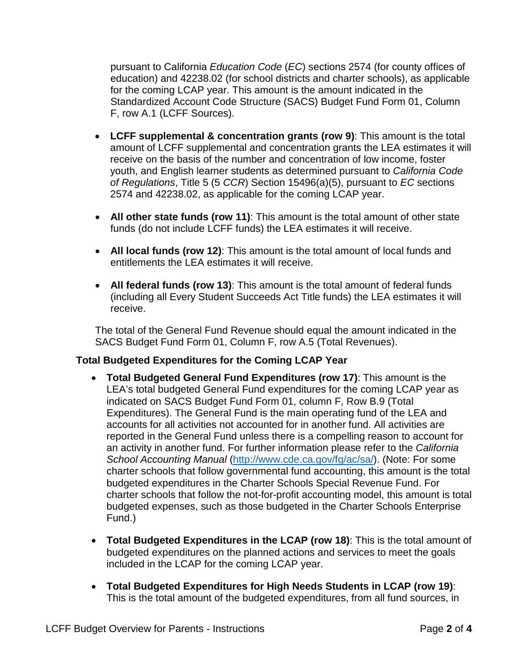pursuant to California *Education Code* (*EC*) sections 2574 (for county offices of education) and 42238.02 (for school districts and charter schools), as applicable for the coming LCAP year. This amount is the amount indicated in the Standardized Account Code Structure (SACS) Budget Fund Form 01, Column F, row A.1 (LCFF Sources).

- **LCFF supplemental & concentration grants (row 9)**: This amount is the total amount of LCFF supplemental and concentration grants the LEA estimates it will receive on the basis of the number and concentration of low income, foster youth, and English learner students as determined pursuant to *California Code of Regulations*, Title 5 (5 *CCR*) Section 15496(a)(5), pursuant to *EC* sections 2574 and 42238.02, as applicable for the coming LCAP year.
- **All other state funds (row 11)**: This amount is the total amount of other state funds (do not include LCFF funds) the LEA estimates it will receive.
- **All local funds (row 12)**: This amount is the total amount of local funds and entitlements the LEA estimates it will receive.
- **All federal funds (row 13)**: This amount is the total amount of federal funds (including all Every Student Succeeds Act Title funds) the LEA estimates it will receive.

The total of the General Fund Revenue should equal the amount indicated in the SACS Budget Fund Form 01, Column F, row A.5 (Total Revenues).

## **Total Budgeted Expenditures for the Coming LCAP Year**

- **Total Budgeted General Fund Expenditures (row 17)**: This amount is the LEA's total budgeted General Fund expenditures for the coming LCAP year as indicated on SACS Budget Fund Form 01, column F, Row B.9 (Total Expenditures). The General Fund is the main operating fund of the LEA and accounts for all activities not accounted for in another fund. All activities are reported in the General Fund unless there is a compelling reason to account for an activity in another fund. For further information please refer to the *California School Accounting Manual* [\(http://www.cde.ca.gov/fg/ac/sa/\)](http://www.cde.ca.gov/fg/ac/sa/). (Note: For some charter schools that follow governmental fund accounting, this amount is the total budgeted expenditures in the Charter Schools Special Revenue Fund. For charter schools that follow the not-for-profit accounting model, this amount is total budgeted expenses, such as those budgeted in the Charter Schools Enterprise Fund.)
- **Total Budgeted Expenditures in the LCAP (row 18)**: This is the total amount of budgeted expenditures on the planned actions and services to meet the goals included in the LCAP for the coming LCAP year.
- **Total Budgeted Expenditures for High Needs Students in LCAP (row 19)**: This is the total amount of the budgeted expenditures, from all fund sources, in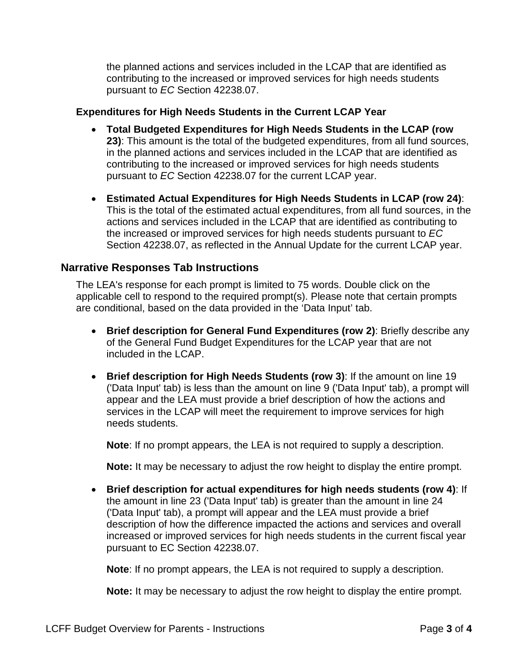the planned actions and services included in the LCAP that are identified as contributing to the increased or improved services for high needs students pursuant to *EC* Section 42238.07.

## **Expenditures for High Needs Students in the Current LCAP Year**

- **Total Budgeted Expenditures for High Needs Students in the LCAP (row 23)**: This amount is the total of the budgeted expenditures, from all fund sources, in the planned actions and services included in the LCAP that are identified as contributing to the increased or improved services for high needs students pursuant to *EC* Section 42238.07 for the current LCAP year.
- **Estimated Actual Expenditures for High Needs Students in LCAP (row 24)**: This is the total of the estimated actual expenditures, from all fund sources, in the actions and services included in the LCAP that are identified as contributing to the increased or improved services for high needs students pursuant to *EC* Section 42238.07, as reflected in the Annual Update for the current LCAP year.

# **Narrative Responses Tab Instructions**

The LEA's response for each prompt is limited to 75 words. Double click on the applicable cell to respond to the required prompt(s). Please note that certain prompts are conditional, based on the data provided in the 'Data Input' tab.

- **Brief description for General Fund Expenditures (row 2)**: Briefly describe any of the General Fund Budget Expenditures for the LCAP year that are not included in the LCAP.
- **Brief description for High Needs Students (row 3)**: If the amount on line 19 ('Data Input' tab) is less than the amount on line 9 ('Data Input' tab), a prompt will appear and the LEA must provide a brief description of how the actions and services in the LCAP will meet the requirement to improve services for high needs students.

**Note**: If no prompt appears, the LEA is not required to supply a description.

**Note:** It may be necessary to adjust the row height to display the entire prompt.

• **Brief description for actual expenditures for high needs students (row 4)**: If the amount in line 23 ('Data Input' tab) is greater than the amount in line 24 ('Data Input' tab), a prompt will appear and the LEA must provide a brief description of how the difference impacted the actions and services and overall increased or improved services for high needs students in the current fiscal year pursuant to EC Section 42238.07.

**Note**: If no prompt appears, the LEA is not required to supply a description.

**Note:** It may be necessary to adjust the row height to display the entire prompt.